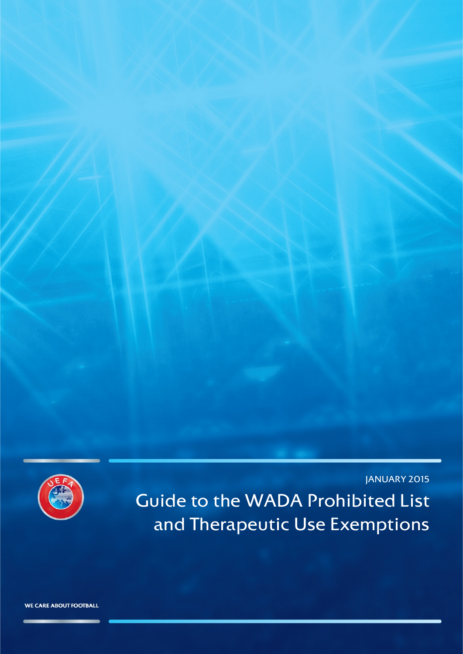

JANUARY 2015 Guide to the WADA Prohibited List and Therapeutic Use Exemptions

WE CARE ABOUT FOOTBALL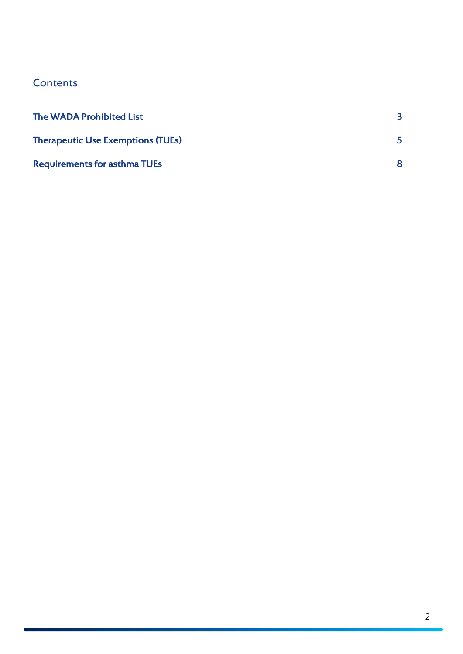# <span id="page-1-0"></span>**Contents**

| <b>The WADA Prohibited List</b>          |  |
|------------------------------------------|--|
| <b>Therapeutic Use Exemptions (TUEs)</b> |  |
| <b>Requirements for asthma TUEs</b>      |  |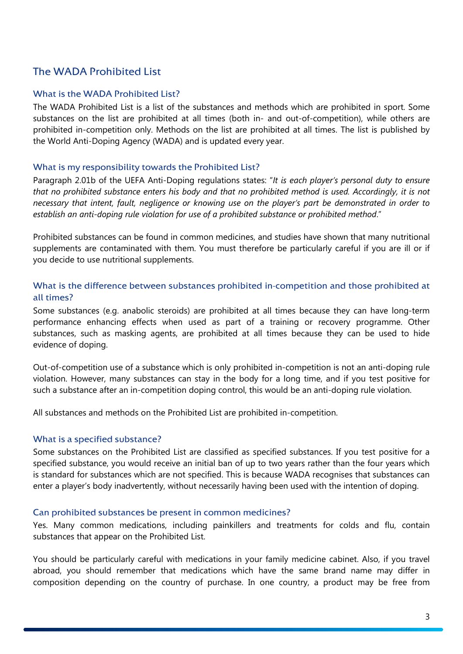## The WADA Prohibited List

## What is the WADA Prohibited List?

The WADA Prohibited List is a list of the substances and methods which are prohibited in sport. Some substances on the list are prohibited at all times (both in- and out-of-competition), while others are prohibited in-competition only. Methods on the list are prohibited at all times. The list is published by the World Anti-Doping Agency (WADA) and is updated every year.

## What is my responsibility towards the Prohibited List?

Paragraph 2.01b of the UEFA Anti-Doping regulations states: "*It is each player's personal duty to ensure that no prohibited substance enters his body and that no prohibited method is used. Accordingly, it is not necessary that intent, fault, negligence or knowing use on the player's part be demonstrated in order to establish an anti-doping rule violation for use of a prohibited substance or prohibited method*."

Prohibited substances can be found in common medicines, and studies have shown that many nutritional supplements are contaminated with them. You must therefore be particularly careful if you are ill or if you decide to use nutritional supplements.

## What is the difference between substances prohibited in-competition and those prohibited at all times?

Some substances (e.g. anabolic steroids) are prohibited at all times because they can have long-term performance enhancing effects when used as part of a training or recovery programme. Other substances, such as masking agents, are prohibited at all times because they can be used to hide evidence of doping.

Out-of-competition use of a substance which is only prohibited in-competition is not an anti-doping rule violation. However, many substances can stay in the body for a long time, and if you test positive for such a substance after an in-competition doping control, this would be an anti-doping rule violation.

All substances and methods on the Prohibited List are prohibited in-competition.

## What is a specified substance?

Some substances on the Prohibited List are classified as specified substances. If you test positive for a specified substance, you would receive an initial ban of up to two years rather than the four years which is standard for substances which are not specified. This is because WADA recognises that substances can enter a player's body inadvertently, without necessarily having been used with the intention of doping.

#### Can prohibited substances be present in common medicines?

Yes. Many common medications, including painkillers and treatments for colds and flu, contain substances that appear on the Prohibited List.

You should be particularly careful with medications in your family medicine cabinet. Also, if you travel abroad, you should remember that medications which have the same brand name may differ in composition depending on the country of purchase. In one country, a product may be free from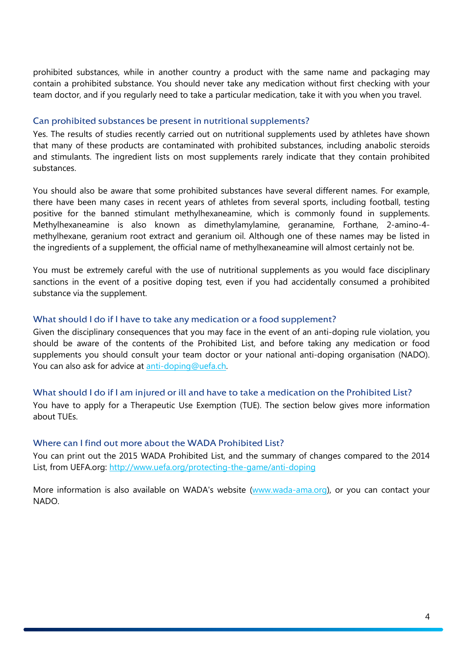prohibited substances, while in another country a product with the same name and packaging may contain a prohibited substance. You should never take any medication without first checking with your team doctor, and if you regularly need to take a particular medication, take it with you when you travel.

#### Can prohibited substances be present in nutritional supplements?

Yes. The results of studies recently carried out on nutritional supplements used by athletes have shown that many of these products are contaminated with prohibited substances, including anabolic steroids and stimulants. The ingredient lists on most supplements rarely indicate that they contain prohibited substances.

You should also be aware that some prohibited substances have several different names. For example, there have been many cases in recent years of athletes from several sports, including football, testing positive for the banned stimulant methylhexaneamine, which is commonly found in supplements. Methylhexaneamine is also known as dimethylamylamine, geranamine, Forthane, 2-amino-4 methylhexane, geranium root extract and geranium oil. Although one of these names may be listed in the ingredients of a supplement, the official name of methylhexaneamine will almost certainly not be.

You must be extremely careful with the use of nutritional supplements as you would face disciplinary sanctions in the event of a positive doping test, even if you had accidentally consumed a prohibited substance via the supplement.

#### What should I do if I have to take any medication or a food supplement?

Given the disciplinary consequences that you may face in the event of an anti-doping rule violation, you should be aware of the contents of the Prohibited List, and before taking any medication or food supplements you should consult your team doctor or your national anti-doping organisation (NADO). You can also ask for advice at [anti-doping@uefa.ch.](mailto:anti-doping@uefa.ch)

#### What should I do if I am injured or ill and have to take a medication on the Prohibited List?

You have to apply for a Therapeutic Use Exemption (TUE). The section below gives more information about TUEs.

#### Where can I find out more about the WADA Prohibited List?

You can print out the 2015 WADA Prohibited List, and the summary of changes compared to the 2014 List, from UEFA.org: <http://www.uefa.org/protecting-the-game/anti-doping>

More information is also available on WADA's website [\(www.wada-ama.org\)](http://www.wada-ama.org/), or you can contact your NADO.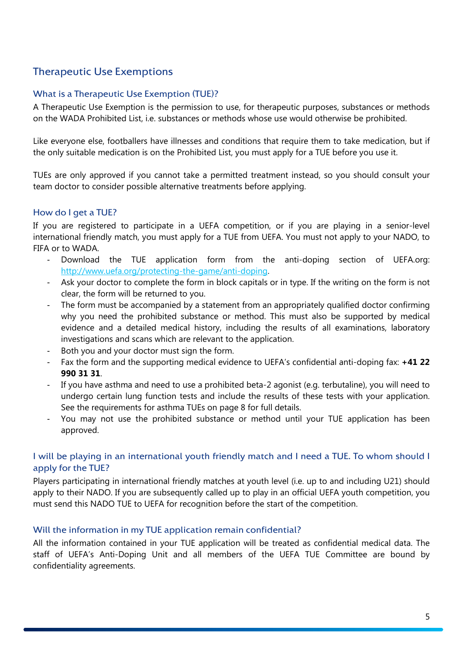# <span id="page-4-0"></span>Therapeutic Use Exemptions

## What is a Therapeutic Use Exemption (TUE)?

A Therapeutic Use Exemption is the permission to use, for therapeutic purposes, substances or methods on the WADA Prohibited List, i.e. substances or methods whose use would otherwise be prohibited.

Like everyone else, footballers have illnesses and conditions that require them to take medication, but if the only suitable medication is on the Prohibited List, you must apply for a TUE before you use it.

TUEs are only approved if you cannot take a permitted treatment instead, so you should consult your team doctor to consider possible alternative treatments before applying.

## How do I get a TUE?

If you are registered to participate in a UEFA competition, or if you are playing in a senior-level international friendly match, you must apply for a TUE from UEFA. You must not apply to your NADO, to FIFA or to WADA.

- Download the TUE application form from the anti-doping section of UEFA.org: [http://www.uefa.org/protecting-the-game/anti-doping.](http://www.uefa.org/protecting-the-game/anti-doping)
- Ask your doctor to complete the form in block capitals or in type. If the writing on the form is not clear, the form will be returned to you.
- The form must be accompanied by a statement from an appropriately qualified doctor confirming why you need the prohibited substance or method. This must also be supported by medical evidence and a detailed medical history, including the results of all examinations, laboratory investigations and scans which are relevant to the application.
- Both you and your doctor must sign the form.
- Fax the form and the supporting medical evidence to UEFA's confidential anti-doping fax: **+41 22 990 31 31**.
- If you have asthma and need to use a prohibited beta-2 agonist (e.g. terbutaline), you will need to undergo certain lung function tests and include the results of these tests with your application. See the requirements for asthma TUEs on page 8 for full details.
- You may not use the prohibited substance or method until your TUE application has been approved.

## I will be playing in an international youth friendly match and I need a TUE. To whom should I apply for the TUE?

Players participating in international friendly matches at youth level (i.e. up to and including U21) should apply to their NADO. If you are subsequently called up to play in an official UEFA youth competition, you must send this NADO TUE to UEFA for recognition before the start of the competition.

## Will the information in my TUE application remain confidential?

All the information contained in your TUE application will be treated as confidential medical data. The staff of UEFA's Anti-Doping Unit and all members of the UEFA TUE Committee are bound by confidentiality agreements.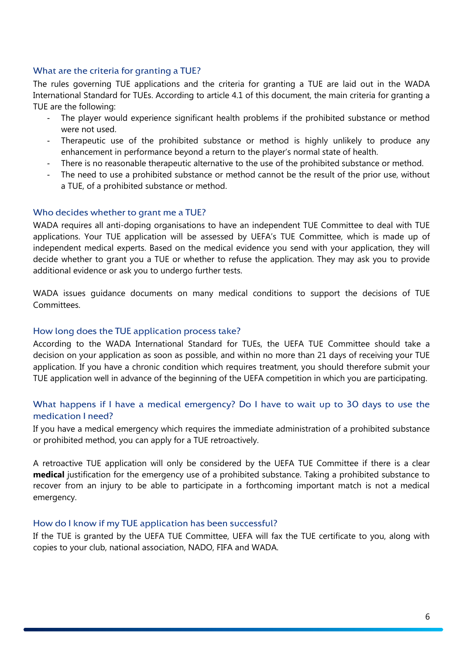## What are the criteria for granting a TUE?

The rules governing TUE applications and the criteria for granting a TUE are laid out in the WADA International Standard for TUEs. According to article 4.1 of this document, the main criteria for granting a TUE are the following:

- The player would experience significant health problems if the prohibited substance or method were not used.
- Therapeutic use of the prohibited substance or method is highly unlikely to produce any enhancement in performance beyond a return to the player's normal state of health.
- There is no reasonable therapeutic alternative to the use of the prohibited substance or method.
- The need to use a prohibited substance or method cannot be the result of the prior use, without a TUE, of a prohibited substance or method.

#### Who decides whether to grant me a TUE?

WADA requires all anti-doping organisations to have an independent TUE Committee to deal with TUE applications. Your TUE application will be assessed by UEFA's TUE Committee, which is made up of independent medical experts. Based on the medical evidence you send with your application, they will decide whether to grant you a TUE or whether to refuse the application. They may ask you to provide additional evidence or ask you to undergo further tests.

WADA issues guidance documents on many medical conditions to support the decisions of TUE Committees.

#### How long does the TUE application process take?

According to the WADA International Standard for TUEs, the UEFA TUE Committee should take a decision on your application as soon as possible, and within no more than 21 days of receiving your TUE application. If you have a chronic condition which requires treatment, you should therefore submit your TUE application well in advance of the beginning of the UEFA competition in which you are participating.

## What happens if I have a medical emergency? Do I have to wait up to 30 days to use the medication I need?

If you have a medical emergency which requires the immediate administration of a prohibited substance or prohibited method, you can apply for a TUE retroactively.

A retroactive TUE application will only be considered by the UEFA TUE Committee if there is a clear **medical** justification for the emergency use of a prohibited substance. Taking a prohibited substance to recover from an injury to be able to participate in a forthcoming important match is not a medical emergency.

#### How do I know if my TUE application has been successful?

If the TUE is granted by the UEFA TUE Committee, UEFA will fax the TUE certificate to you, along with copies to your club, national association, NADO, FIFA and WADA.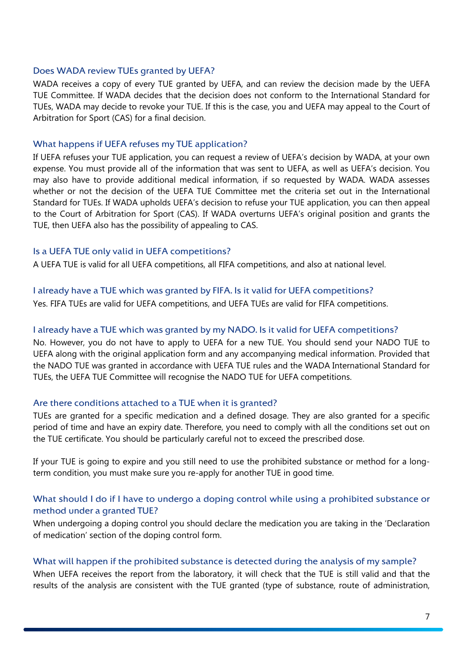## Does WADA review TUEs granted by UEFA?

WADA receives a copy of every TUE granted by UEFA, and can review the decision made by the UEFA TUE Committee. If WADA decides that the decision does not conform to the International Standard for TUEs, WADA may decide to revoke your TUE. If this is the case, you and UEFA may appeal to the Court of Arbitration for Sport (CAS) for a final decision.

#### What happens if UEFA refuses my TUE application?

If UEFA refuses your TUE application, you can request a review of UEFA's decision by WADA, at your own expense. You must provide all of the information that was sent to UEFA, as well as UEFA's decision. You may also have to provide additional medical information, if so requested by WADA. WADA assesses whether or not the decision of the UEFA TUE Committee met the criteria set out in the International Standard for TUEs. If WADA upholds UEFA's decision to refuse your TUE application, you can then appeal to the Court of Arbitration for Sport (CAS). If WADA overturns UEFA's original position and grants the TUE, then UEFA also has the possibility of appealing to CAS.

#### Is a UEFA TUE only valid in UEFA competitions?

A UEFA TUE is valid for all UEFA competitions, all FIFA competitions, and also at national level.

#### I already have a TUE which was granted by FIFA. Is it valid for UEFA competitions?

Yes. FIFA TUEs are valid for UEFA competitions, and UEFA TUEs are valid for FIFA competitions.

#### I already have a TUE which was granted by my NADO. Is it valid for UEFA competitions?

No. However, you do not have to apply to UEFA for a new TUE. You should send your NADO TUE to UEFA along with the original application form and any accompanying medical information. Provided that the NADO TUE was granted in accordance with UEFA TUE rules and the WADA International Standard for TUEs, the UEFA TUE Committee will recognise the NADO TUE for UEFA competitions.

#### Are there conditions attached to a TUE when it is granted?

TUEs are granted for a specific medication and a defined dosage. They are also granted for a specific period of time and have an expiry date. Therefore, you need to comply with all the conditions set out on the TUE certificate. You should be particularly careful not to exceed the prescribed dose.

If your TUE is going to expire and you still need to use the prohibited substance or method for a longterm condition, you must make sure you re-apply for another TUE in good time.

## What should I do if I have to undergo a doping control while using a prohibited substance or method under a granted TUE?

When undergoing a doping control you should declare the medication you are taking in the 'Declaration of medication' section of the doping control form.

#### What will happen if the prohibited substance is detected during the analysis of my sample?

When UEFA receives the report from the laboratory, it will check that the TUE is still valid and that the results of the analysis are consistent with the TUE granted (type of substance, route of administration,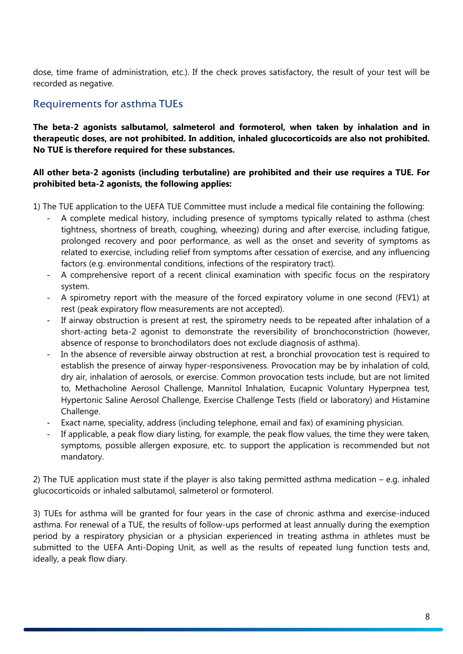dose, time frame of administration, etc.). If the check proves satisfactory, the result of your test will be recorded as negative.

## <span id="page-7-0"></span>Requirements for asthma TUEs

**The beta-2 agonists salbutamol, salmeterol and formoterol, when taken by inhalation and in therapeutic doses, are not prohibited. In addition, inhaled glucocorticoids are also not prohibited. No TUE is therefore required for these substances.**

## **All other beta-2 agonists (including terbutaline) are prohibited and their use requires a TUE. For prohibited beta-2 agonists, the following applies:**

- 1) The TUE application to the UEFA TUE Committee must include a medical file containing the following:
	- A complete medical history, including presence of symptoms typically related to asthma (chest tightness, shortness of breath, coughing, wheezing) during and after exercise, including fatigue, prolonged recovery and poor performance, as well as the onset and severity of symptoms as related to exercise, including relief from symptoms after cessation of exercise, and any influencing factors (e.g. environmental conditions, infections of the respiratory tract).
	- A comprehensive report of a recent clinical examination with specific focus on the respiratory system.
	- A spirometry report with the measure of the forced expiratory volume in one second (FEV1) at rest (peak expiratory flow measurements are not accepted).
	- If airway obstruction is present at rest, the spirometry needs to be repeated after inhalation of a short-acting beta-2 agonist to demonstrate the reversibility of bronchoconstriction (however, absence of response to bronchodilators does not exclude diagnosis of asthma).
	- In the absence of reversible airway obstruction at rest, a bronchial provocation test is required to establish the presence of airway hyper-responsiveness. Provocation may be by inhalation of cold, dry air, inhalation of aerosols, or exercise. Common provocation tests include, but are not limited to, Methacholine Aerosol Challenge, Mannitol Inhalation, Eucapnic Voluntary Hyperpnea test, Hypertonic Saline Aerosol Challenge, Exercise Challenge Tests (field or laboratory) and Histamine Challenge.
	- Exact name, speciality, address (including telephone, email and fax) of examining physician.
	- If applicable, a peak flow diary listing, for example, the peak flow values, the time they were taken, symptoms, possible allergen exposure, etc. to support the application is recommended but not mandatory.

2) The TUE application must state if the player is also taking permitted asthma medication – e.g. inhaled glucocorticoids or inhaled salbutamol, salmeterol or formoterol.

3) TUEs for asthma will be granted for four years in the case of chronic asthma and exercise-induced asthma. For renewal of a TUE, the results of follow-ups performed at least annually during the exemption period by a respiratory physician or a physician experienced in treating asthma in athletes must be submitted to the UEFA Anti-Doping Unit, as well as the results of repeated lung function tests and, ideally, a peak flow diary.